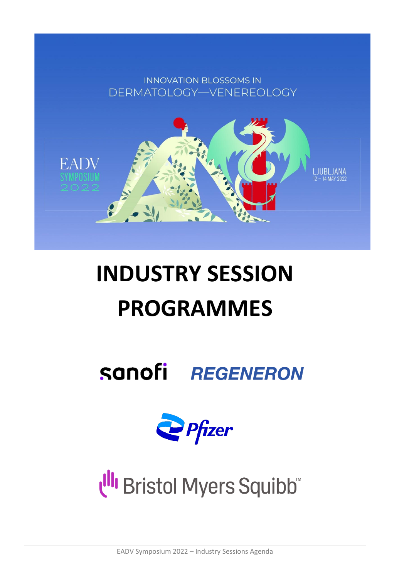### **INNOVATION BLOSSOMS IN** DERMATOLOGY-VENEREOLOGY



# **INDUSTRY SESSION PROGRAMMES**

sanofi REGENERON



t<sup>III</sup>I Bristol Myers Squibb™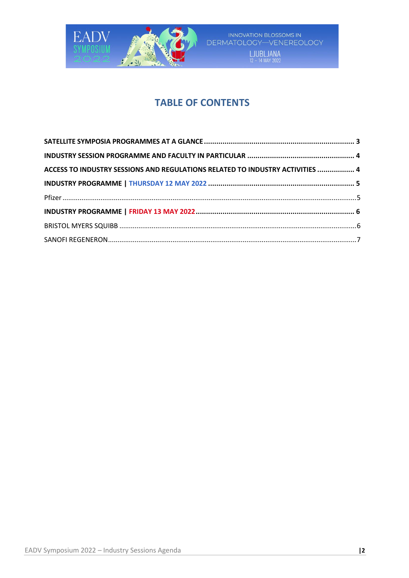

## **TABLE OF CONTENTS**

| ACCESS TO INDUSTRY SESSIONS AND REGULATIONS RELATED TO INDUSTRY ACTIVITIES  4 |  |
|-------------------------------------------------------------------------------|--|
|                                                                               |  |
|                                                                               |  |
|                                                                               |  |
|                                                                               |  |
|                                                                               |  |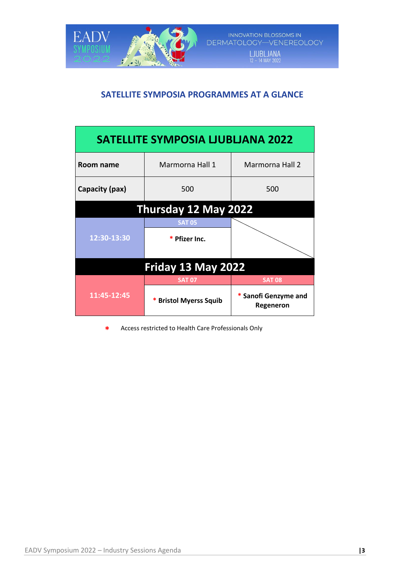

#### **SATELLITE SYMPOSIA PROGRAMMES AT A GLANCE**

<span id="page-2-0"></span>

| <b>SATELLITE SYMPOSIA LJUBLJANA 2022</b> |                             |                                   |  |  |
|------------------------------------------|-----------------------------|-----------------------------------|--|--|
| Room name                                | Marmorna Hall 1             | Marmorna Hall 2                   |  |  |
| Capacity (pax)                           | 500                         | 500                               |  |  |
| Thursday 12 May 2022                     |                             |                                   |  |  |
| 12:30-13:30                              | <b>SAT 05</b>               |                                   |  |  |
|                                          | * Pfizer Inc.               |                                   |  |  |
| Friday 13 May 2022                       |                             |                                   |  |  |
| $11:45 - 12:45$                          | <b>SAT 07</b>               | <b>SAT 08</b>                     |  |  |
|                                          | <b>Bristol Myerss Squib</b> | * Sanofi Genzyme and<br>Regeneron |  |  |

**\*** Access restricted to Health Care Professionals Only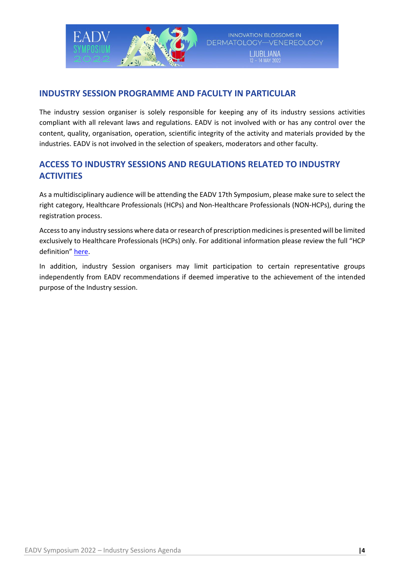**LJUBLJANA**  $12 - 14$  MAY 20

#### <span id="page-3-0"></span>**INDUSTRY SESSION PROGRAMME AND FACULTY IN PARTICULAR**

The industry session organiser is solely responsible for keeping any of its industry sessions activities compliant with all relevant laws and regulations. EADV is not involved with or has any control over the content, quality, organisation, operation, scientific integrity of the activity and materials provided by the industries. EADV is not involved in the selection of speakers, moderators and other faculty.

### <span id="page-3-1"></span>**ACCESS TO INDUSTRY SESSIONS AND REGULATIONS RELATED TO INDUSTRY ACTIVITIES**

As a multidisciplinary audience will be attending the EADV 17th Symposium, please make sure to select the right category, Healthcare Professionals (HCPs) and Non-Healthcare Professionals (NON-HCPs), during the registration process.

Access to any industry sessions where data or research of prescription medicines is presented will be limited exclusively to Healthcare Professionals (HCPs) only. For additional information please review the full "HCP definition" [here.](https://eadvsymposium2022.org/registration/hpd/)

In addition, industry Session organisers may limit participation to certain representative groups independently from EADV recommendations if deemed imperative to the achievement of the intended purpose of the Industry session.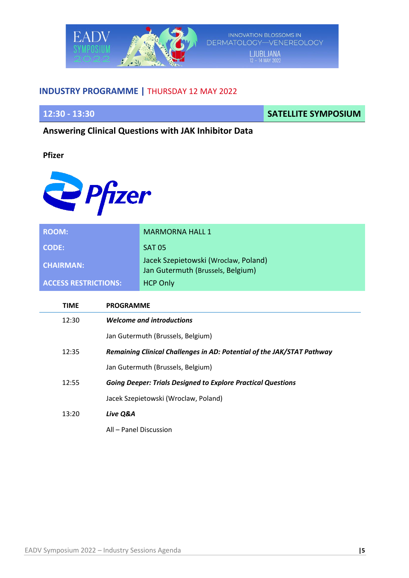

#### <span id="page-4-0"></span>**INDUSTRY PROGRAMME |** THURSDAY 12 MAY 2022

**12:30 - 13:30 SATELLITE SYMPOSIUM**

**Answering Clinical Questions with JAK Inhibitor Data**

#### <span id="page-4-1"></span>**Pfizer**



| ROOM:                       | <b>MARMORNA HALL 1</b>                                                    |
|-----------------------------|---------------------------------------------------------------------------|
| <b>CODE:</b>                | <b>SAT 05</b>                                                             |
| <b>CHAIRMAN:</b>            | Jacek Szepietowski (Wroclaw, Poland)<br>Jan Gutermuth (Brussels, Belgium) |
| <b>ACCESS RESTRICTIONS:</b> | <b>HCP Only</b>                                                           |

| <b>TIME</b> | <b>PROGRAMME</b>                                                       |
|-------------|------------------------------------------------------------------------|
| 12:30       | <b>Welcome and introductions</b>                                       |
|             | Jan Gutermuth (Brussels, Belgium)                                      |
| 12:35       | Remaining Clinical Challenges in AD: Potential of the JAK/STAT Pathway |
|             | Jan Gutermuth (Brussels, Belgium)                                      |
| 12:55       | <b>Going Deeper: Trials Designed to Explore Practical Questions</b>    |
|             | Jacek Szepietowski (Wroclaw, Poland)                                   |
| 13:20       | Live Q&A                                                               |
|             | All - Panel Discussion                                                 |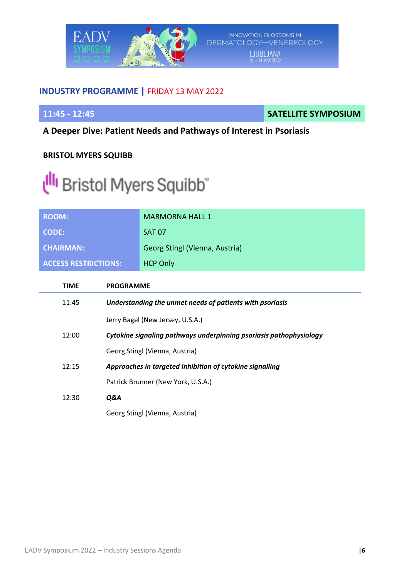

#### <span id="page-5-0"></span>**INDUSTRY PROGRAMME |** FRIDAY 13 MAY 2022

**11:45 - 12:45 SATELLITE SYMPOSIUM**

#### **A Deeper Dive: Patient Needs and Pathways of Interest in Psoriasis**

#### <span id="page-5-1"></span>**BRISTOL MYERS SQUIBB**

## Ull Bristol Myers Squibb"

| <b>ROOM:</b>                | <b>MARMORNA HALL 1</b>                                             |                                    |  |
|-----------------------------|--------------------------------------------------------------------|------------------------------------|--|
| <b>CODE:</b>                |                                                                    | <b>SAT 07</b>                      |  |
| <b>CHAIRMAN:</b>            |                                                                    | Georg Stingl (Vienna, Austria)     |  |
| <b>ACCESS RESTRICTIONS:</b> |                                                                    | <b>HCP Only</b>                    |  |
| <b>TIME</b>                 | <b>PROGRAMME</b>                                                   |                                    |  |
| 11:45                       | Understanding the unmet needs of patients with psoriasis           |                                    |  |
|                             | Jerry Bagel (New Jersey, U.S.A.)                                   |                                    |  |
| 12:00                       | Cytokine signaling pathways underpinning psoriasis pathophysiology |                                    |  |
|                             | Georg Stingl (Vienna, Austria)                                     |                                    |  |
| 12:15                       | Approaches in targeted inhibition of cytokine signalling           |                                    |  |
|                             |                                                                    | Patrick Brunner (New York, U.S.A.) |  |
| 12:30                       | <b>Q&amp;A</b>                                                     |                                    |  |
|                             |                                                                    | Georg Stingl (Vienna, Austria)     |  |